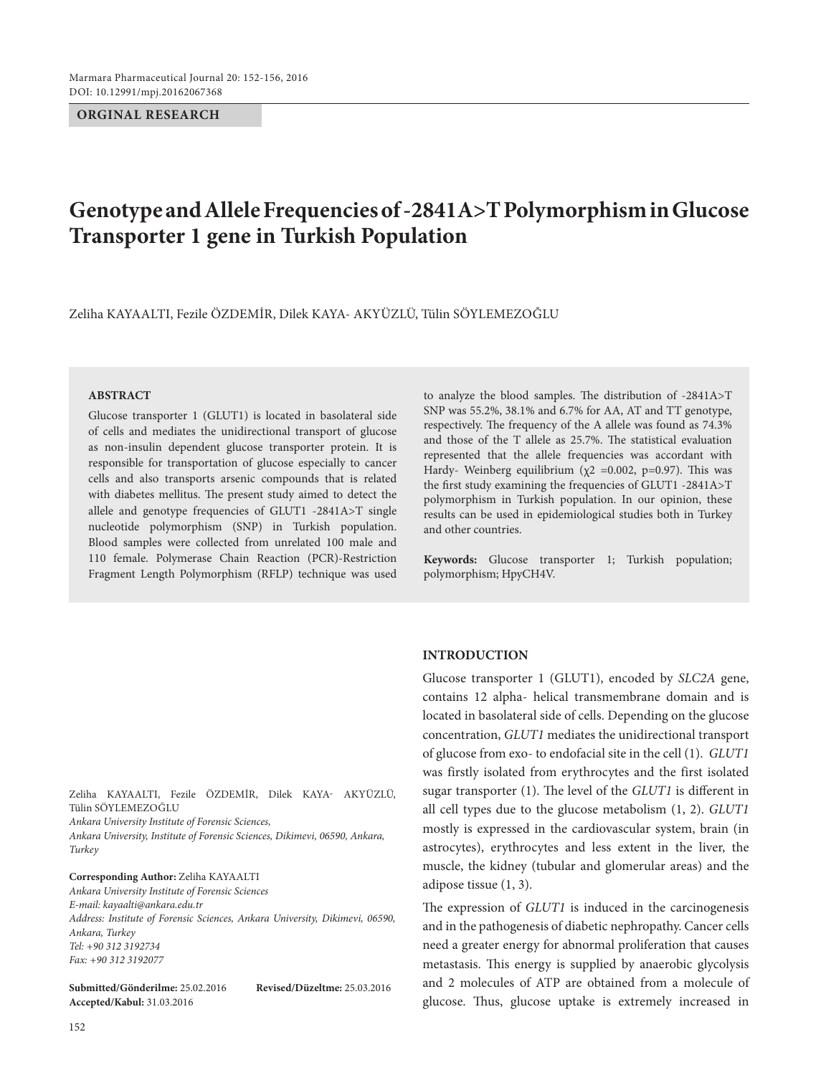**ORGINAL RESEARCH**

# **Genotype and Allele Frequencies of -2841A>T Polymorphism in Glucose Transporter 1 gene in Turkish Population**

Zeliha Kayaaltı, Fezile Özdemir, Dilek Kaya- Akyüzlü, Tülin Söylemezoğlu

#### **ABSTRACT**

Glucose transporter 1 (GLUT1) is located in basolateral side of cells and mediates the unidirectional transport of glucose as non-insulin dependent glucose transporter protein. It is responsible for transportation of glucose especially to cancer cells and also transports arsenic compounds that is related with diabetes mellitus. The present study aimed to detect the allele and genotype frequencies of GLUT1 -2841A>T single nucleotide polymorphism (SNP) in Turkish population. Blood samples were collected from unrelated 100 male and 110 female. Polymerase Chain Reaction (PCR)-Restriction Fragment Length Polymorphism (RFLP) technique was used to analyze the blood samples. The distribution of -2841A>T SNP was 55.2%, 38.1% and 6.7% for AA, AT and TT genotype, respectively. The frequency of the A allele was found as 74.3% and those of the T allele as 25.7%. The statistical evaluation represented that the allele frequencies was accordant with Hardy- Weinberg equilibrium ( $\chi$ 2 =0.002, p=0.97). This was the first study examining the frequencies of GLUT1 -2841A>T polymorphism in Turkish population. In our opinion, these results can be used in epidemiological studies both in Turkey and other countries.

**Keywords:** Glucose transporter 1; Turkish population; polymorphism; HpyCH4V.

#### **INTRODUCTION**

Glucose transporter 1 (GLUT1), encoded by *SLC2A* gene, contains 12 alpha- helical transmembrane domain and is located in basolateral side of cells. Depending on the glucose concentration, *GLUT1* mediates the unidirectional transport of glucose from exo- to endofacial site in the cell (1). *GLUT1* was firstly isolated from erythrocytes and the first isolated sugar transporter (1). The level of the *GLUT1* is different in all cell types due to the glucose metabolism (1, 2). *GLUT1* mostly is expressed in the cardiovascular system, brain (in astrocytes), erythrocytes and less extent in the liver, the muscle, the kidney (tubular and glomerular areas) and the adipose tissue (1, 3).

The expression of *GLUT1* is induced in the carcinogenesis and in the pathogenesis of diabetic nephropathy. Cancer cells need a greater energy for abnormal proliferation that causes metastasis. This energy is supplied by anaerobic glycolysis and 2 molecules of ATP are obtained from a molecule of glucose. Thus, glucose uptake is extremely increased in

Zeliha KAYAALTI, Fezile ÖZDEMİR, Dilek KAYA- AKYÜZLÜ, Tülin Söylemezoğlu

*Ankara University Institute of Forensic Sciences,*

*Ankara University, Institute of Forensic Sciences, Dikimevi, 06590, Ankara, Turkey*

**Corresponding Author: Zeliha KAYAALTI** *Ankara University Institute of Forensic Sciences E-mail: kayaalti@ankara.edu.tr Address: Institute of Forensic Sciences, Ankara University, Dikimevi, 06590, Ankara, Turkey Tel: +90 312 3192734 Fax: +90 312 3192077*

**Submitted/Gönderilme:** 25.02.2016 **Revised/Düzeltme:** 25.03.2016 **Accepted/Kabul:** 31.03.2016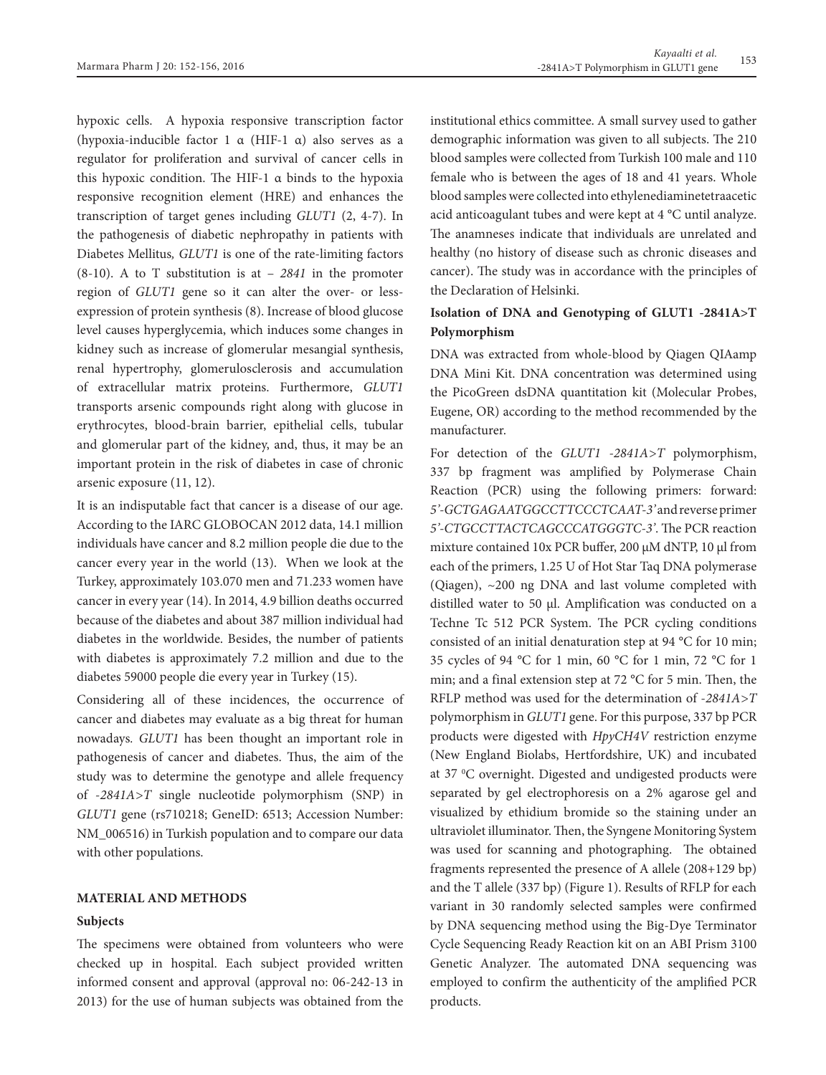hypoxic cells. A hypoxia responsive transcription factor (hypoxia-inducible factor 1 α (HIF-1 α) also serves as a regulator for proliferation and survival of cancer cells in this hypoxic condition. The HIF-1 α binds to the hypoxia responsive recognition element (HRE) and enhances the transcription of target genes including *GLUT1* (2, 4-7). In the pathogenesis of diabetic nephropathy in patients with Diabetes Mellitus*, GLUT1* is one of the rate-limiting factors (8-10). A to T substitution is at – *2841* in the promoter region of *GLUT1* gene so it can alter the over- or lessexpression of protein synthesis (8). Increase of blood glucose level causes hyperglycemia, which induces some changes in kidney such as increase of glomerular mesangial synthesis, renal hypertrophy, glomerulosclerosis and accumulation of extracellular matrix proteins. Furthermore, *GLUT1* transports arsenic compounds right along with glucose in erythrocytes, blood-brain barrier, epithelial cells, tubular and glomerular part of the kidney, and, thus, it may be an important protein in the risk of diabetes in case of chronic arsenic exposure (11, 12).

It is an indisputable fact that cancer is a disease of our age. According to the IARC GLOBOCAN 2012 data, 14.1 million individuals have cancer and 8.2 million people die due to the cancer every year in the world (13). When we look at the Turkey, approximately 103.070 men and 71.233 women have cancer in every year (14). In 2014, 4.9 billion deaths occurred because of the diabetes and about 387 million individual had diabetes in the worldwide. Besides, the number of patients with diabetes is approximately 7.2 million and due to the diabetes 59000 people die every year in Turkey (15).

Considering all of these incidences, the occurrence of cancer and diabetes may evaluate as a big threat for human nowadays*. GLUT1* has been thought an important role in pathogenesis of cancer and diabetes. Thus, the aim of the study was to determine the genotype and allele frequency of -*2841A>T* single nucleotide polymorphism (SNP) in *GLUT1* gene (rs710218; GeneID: 6513; Accession Number: NM\_006516) in Turkish population and to compare our data with other populations.

# **MATERIAL AND METHODS**

## **Subjects**

The specimens were obtained from volunteers who were checked up in hospital. Each subject provided written informed consent and approval (approval no: 06-242-13 in 2013) for the use of human subjects was obtained from the institutional ethics committee. A small survey used to gather demographic information was given to all subjects. The 210 blood samples were collected from Turkish 100 male and 110 female who is between the ages of 18 and 41 years. Whole blood samples were collected into ethylenediaminetetraacetic acid anticoagulant tubes and were kept at 4 °C until analyze. The anamneses indicate that individuals are unrelated and healthy (no history of disease such as chronic diseases and cancer). The study was in accordance with the principles of the Declaration of Helsinki.

# **Isolation of DNA and Genotyping of GLUT1 -2841A>T Polymorphism**

DNA was extracted from whole-blood by Qiagen QIAamp DNA Mini Kit. DNA concentration was determined using the PicoGreen dsDNA quantitation kit (Molecular Probes, Eugene, OR) according to the method recommended by the manufacturer.

For detection of the *GLUT1 -2841A>T* polymorphism, 337 bp fragment was amplified by Polymerase Chain Reaction (PCR) using the following primers: forward: *5'-GCTGAGAATGGCCTTCCCTCAAT-3'* and reverse primer *5'-CTGCCTTACTCAGCCCATGGGTC-3'*. The PCR reaction mixture contained 10x PCR buffer, 200 μM dNTP, 10 μl from each of the primers, 1.25 U of Hot Star Taq DNA polymerase (Qiagen), ~200 ng DNA and last volume completed with distilled water to 50 μl. Amplification was conducted on a Techne Tc 512 PCR System. The PCR cycling conditions consisted of an initial denaturation step at 94 °C for 10 min; 35 cycles of 94 °C for 1 min, 60 °C for 1 min, 72 °C for 1 min; and a final extension step at 72 °C for 5 min. Then, the RFLP method was used for the determination of -*2841A>T*  polymorphism in *GLUT1* gene. For this purpose, 337 bp PCR products were digested with *HpyCH4V* restriction enzyme (New England Biolabs, Hertfordshire, UK) and incubated at 37 °C overnight. Digested and undigested products were separated by gel electrophoresis on a 2% agarose gel and visualized by ethidium bromide so the staining under an ultraviolet illuminator. Then, the Syngene Monitoring System was used for scanning and photographing. The obtained fragments represented the presence of A allele (208+129 bp) and the T allele (337 bp) (Figure 1). Results of RFLP for each variant in 30 randomly selected samples were confirmed by DNA sequencing method using the Big-Dye Terminator Cycle Sequencing Ready Reaction kit on an ABI Prism 3100 Genetic Analyzer. The automated DNA sequencing was employed to confirm the authenticity of the amplified PCR products.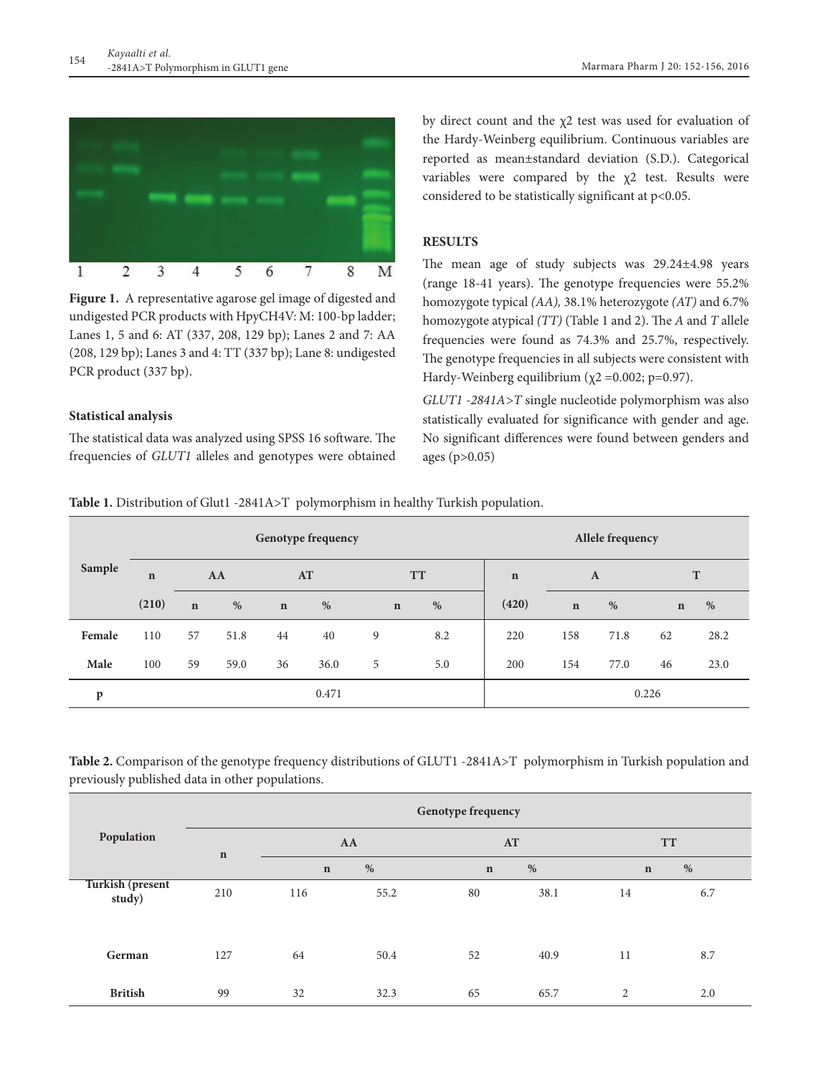

**Figure 1.** A representative agarose gel image of digested and undigested PCR products with HpyCH4V: M: 100-bp ladder; Lanes 1, 5 and 6: AT (337, 208, 129 bp); Lanes 2 and 7: AA (208, 129 bp); Lanes 3 and 4: TT (337 bp); Lane 8: undigested PCR product (337 bp).

### **Statistical analysis**

The statistical data was analyzed using SPSS 16 software. The frequencies of *GLUT1* alleles and genotypes were obtained by direct count and the  $\chi$ 2 test was used for evaluation of the Hardy-Weinberg equilibrium. Continuous variables are reported as mean±standard deviation (S.D.). Categorical variables were compared by the χ2 test. Results were considered to be statistically significant at p<0.05.

### **RESULTS**

The mean age of study subjects was 29.24±4.98 years (range 18-41 years). The genotype frequencies were 55.2% homozygote typical *(AA),* 38.1% heterozygote *(AT)* and 6.7% homozygote atypical *(TT)* (Table 1 and 2). The *A* and *T* allele frequencies were found as 74.3% and 25.7%, respectively. The genotype frequencies in all subjects were consistent with Hardy-Weinberg equilibrium ( $\chi$ 2 =0.002; p=0.97).

*GLUT1 -2841A>T* single nucleotide polymorphism was also statistically evaluated for significance with gender and age. No significant differences were found between genders and ages (p>0.05)

**Table 1.** Distribution of Glut1 -2841A>T polymorphism in healthy Turkish population.

| Sample | <b>Genotype frequency</b> |             |      |             |      |             |       |             | Allele frequency |      |             |      |  |
|--------|---------------------------|-------------|------|-------------|------|-------------|-------|-------------|------------------|------|-------------|------|--|
|        | $\mathbf n$               | AA          |      | AT          |      | <b>TT</b>   |       | $\mathbf n$ | $\bf{A}$         |      | T           |      |  |
|        | (210)                     | $\mathbf n$ | %    | $\mathbf n$ | %    | $\mathbf n$ | %     | (420)       | $\mathbf n$      | %    | $\mathbf n$ | $\%$ |  |
| Female | 110                       | 57          | 51.8 | 44          | 40   | 9           | 8.2   | 220         | 158              | 71.8 | 62          | 28.2 |  |
| Male   | 100                       | 59          | 59.0 | 36          | 36.0 | 5           | 5.0   | 200         | 154              | 77.0 | 46          | 23.0 |  |
| p      | 0.471                     |             |      |             |      |             | 0.226 |             |                  |      |             |      |  |

**Table 2.** Comparison of the genotype frequency distributions of GLUT1 -2841A>T polymorphism in Turkish population and previously published data in other populations.

|                                   | Genotype frequency |             |      |             |      |             |     |  |  |
|-----------------------------------|--------------------|-------------|------|-------------|------|-------------|-----|--|--|
| Population                        | $\mathbf n$        |             | AA   | AT          |      | <b>TT</b>   |     |  |  |
|                                   |                    | $\mathbf n$ | $\%$ | $\mathbf n$ | %    | $\mathbf n$ | %   |  |  |
| <b>Turkish (present</b><br>study) | 210                | 116         | 55.2 | 80          | 38.1 | 14          | 6.7 |  |  |
| German                            | 127                | 64          | 50.4 | 52          | 40.9 | 11          | 8.7 |  |  |
| <b>British</b>                    | 99                 | 32          | 32.3 | 65          | 65.7 | 2           | 2.0 |  |  |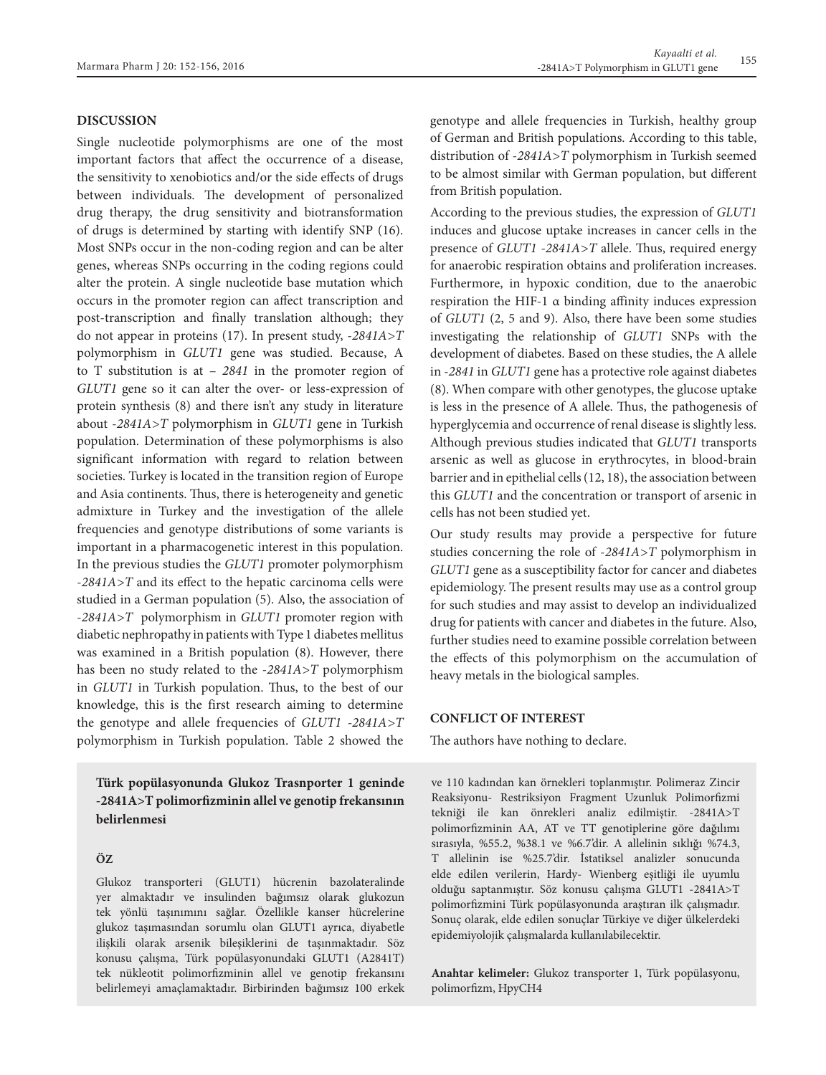# **DISCUSSION**

Single nucleotide polymorphisms are one of the most important factors that affect the occurrence of a disease, the sensitivity to xenobiotics and/or the side effects of drugs between individuals. The development of personalized drug therapy, the drug sensitivity and biotransformation of drugs is determined by starting with identify SNP (16). Most SNPs occur in the non-coding region and can be alter genes, whereas SNPs occurring in the coding regions could alter the protein. A single nucleotide base mutation which occurs in the promoter region can affect transcription and post-transcription and finally translation although; they do not appear in proteins (17). In present study, -*2841A>T*  polymorphism in *GLUT1* gene was studied. Because, A to T substitution is at – *2841* in the promoter region of *GLUT1* gene so it can alter the over- or less-expression of protein synthesis (8) and there isn't any study in literature about -*2841A>T* polymorphism in *GLUT1* gene in Turkish population. Determination of these polymorphisms is also significant information with regard to relation between societies. Turkey is located in the transition region of Europe and Asia continents. Thus, there is heterogeneity and genetic admixture in Turkey and the investigation of the allele frequencies and genotype distributions of some variants is important in a pharmacogenetic interest in this population. In the previous studies the *GLUT1* promoter polymorphism -*2841A>T* and its effect to the hepatic carcinoma cells were studied in a German population (5). Also, the association of -*2841A>T* polymorphism in *GLUT1* promoter region with diabetic nephropathy in patients with Type 1 diabetes mellitus was examined in a British population (8). However, there has been no study related to the -*2841A>T* polymorphism in *GLUT1* in Turkish population. Thus, to the best of our knowledge, this is the first research aiming to determine the genotype and allele frequencies of *GLUT1 -2841A>T*  polymorphism in Turkish population. Table 2 showed the

**Türk popülasyonunda Glukoz Trasnporter 1 geninde -2841A>T polimorfizminin allel ve genotip frekansının belirlenmesi**

#### **ÖZ**

Glukoz transporteri (GLUT1) hücrenin bazolateralinde yer almaktadır ve insulinden bağımsız olarak glukozun tek yönlü taşınımını sağlar. Özellikle kanser hücrelerine glukoz taşımasından sorumlu olan GLUT1 ayrıca, diyabetle ilişkili olarak arsenik bileşiklerini de taşınmaktadır. Söz konusu çalışma, Türk popülasyonundaki GLUT1 (A2841T) tek nükleotit polimorfizminin allel ve genotip frekansını belirlemeyi amaçlamaktadır. Birbirinden bağımsız 100 erkek genotype and allele frequencies in Turkish, healthy group of German and British populations. According to this table, distribution of -*2841A>T* polymorphism in Turkish seemed to be almost similar with German population, but different from British population.

According to the previous studies, the expression of *GLUT1* induces and glucose uptake increases in cancer cells in the presence of *GLUT1 -2841A>T* allele. Thus, required energy for anaerobic respiration obtains and proliferation increases. Furthermore, in hypoxic condition, due to the anaerobic respiration the HIF-1 α binding affinity induces expression of *GLUT1* (2, 5 and 9). Also, there have been some studies investigating the relationship of *GLUT1* SNPs with the development of diabetes. Based on these studies, the A allele in *-2841* in *GLUT1* gene has a protective role against diabetes (8). When compare with other genotypes, the glucose uptake is less in the presence of A allele. Thus, the pathogenesis of hyperglycemia and occurrence of renal disease is slightly less. Although previous studies indicated that *GLUT1* transports arsenic as well as glucose in erythrocytes, in blood-brain barrier and in epithelial cells (12, 18), the association between this *GLUT1* and the concentration or transport of arsenic in cells has not been studied yet.

Our study results may provide a perspective for future studies concerning the role of -*2841A>T* polymorphism in *GLUT1* gene as a susceptibility factor for cancer and diabetes epidemiology. The present results may use as a control group for such studies and may assist to develop an individualized drug for patients with cancer and diabetes in the future. Also, further studies need to examine possible correlation between the effects of this polymorphism on the accumulation of heavy metals in the biological samples.

### **CONFLICT OF INTEREST**

The authors have nothing to declare.

ve 110 kadından kan örnekleri toplanmıştır. Polimeraz Zincir Reaksiyonu- Restriksiyon Fragment Uzunluk Polimorfizmi tekniği ile kan önrekleri analiz edilmiştir. -2841A>T polimorfizminin AA, AT ve TT genotiplerine göre dağılımı sırasıyla, %55.2, %38.1 ve %6.7'dir. A allelinin sıklığı %74.3, T allelinin ise %25.7'dir. İstatiksel analizler sonucunda elde edilen verilerin, Hardy- Wienberg eşitliği ile uyumlu olduğu saptanmıştır. Söz konusu çalışma GLUT1 -2841A>T polimorfizmini Türk popülasyonunda araştıran ilk çalışmadır. Sonuç olarak, elde edilen sonuçlar Türkiye ve diğer ülkelerdeki epidemiyolojik çalışmalarda kullanılabilecektir.

**Anahtar kelimeler:** Glukoz transporter 1, Türk popülasyonu, polimorfizm, HpyCH4